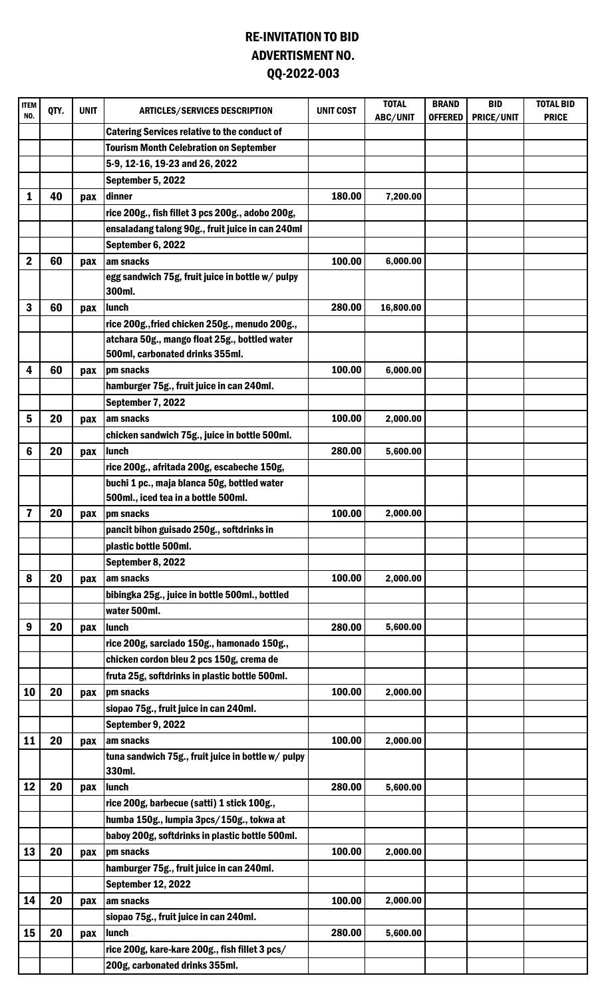## RE-INVITATION TO BID QQ-2022-003 ADVERTISMENT NO.

| <b>ITEM</b><br>NO. | QTY. | <b>UNIT</b> | <b>ARTICLES/SERVICES DESCRIPTION</b>                               | <b>UNIT COST</b> | <b>TOTAL</b><br><b>ABC/UNIT</b> | <b>BRAND</b><br><b>OFFERED</b> | <b>BID</b><br>PRICE/UNIT | <b>TOTAL BID</b><br><b>PRICE</b> |
|--------------------|------|-------------|--------------------------------------------------------------------|------------------|---------------------------------|--------------------------------|--------------------------|----------------------------------|
|                    |      |             | <b>Catering Services relative to the conduct of</b>                |                  |                                 |                                |                          |                                  |
|                    |      |             | <b>Tourism Month Celebration on September</b>                      |                  |                                 |                                |                          |                                  |
|                    |      |             | 5-9, 12-16, 19-23 and 26, 2022                                     |                  |                                 |                                |                          |                                  |
|                    |      |             | September 5, 2022                                                  |                  |                                 |                                |                          |                                  |
| 1                  | 40   | pax         | dinner                                                             | 180.00           | 7,200.00                        |                                |                          |                                  |
|                    |      |             | rice 200g., fish fillet 3 pcs 200g., adobo 200g,                   |                  |                                 |                                |                          |                                  |
|                    |      |             | ensaladang talong 90g., fruit juice in can 240ml                   |                  |                                 |                                |                          |                                  |
|                    |      |             | September 6, 2022                                                  |                  |                                 |                                |                          |                                  |
| $\mathbf 2$        | 60   | pax         | am snacks                                                          | 100.00           | 6,000.00                        |                                |                          |                                  |
|                    |      |             | egg sandwich 75g, fruit juice in bottle w/ pulpy<br>300ml.         |                  |                                 |                                |                          |                                  |
| 3                  | 60   | pax         | lunch                                                              | 280.00           | 16,800.00                       |                                |                          |                                  |
|                    |      |             | rice 200g., fried chicken 250g., menudo 200g.,                     |                  |                                 |                                |                          |                                  |
|                    |      |             | atchara 50g., mango float 25g., bottled water                      |                  |                                 |                                |                          |                                  |
|                    |      |             | 500ml, carbonated drinks 355ml.                                    |                  |                                 |                                |                          |                                  |
| 4                  | 60   | pax         | pm snacks                                                          | 100.00           | 6,000.00                        |                                |                          |                                  |
|                    |      |             | hamburger 75g., fruit juice in can 240ml.                          |                  |                                 |                                |                          |                                  |
|                    |      |             | September 7, 2022                                                  |                  |                                 |                                |                          |                                  |
| 5                  | 20   | pax         | am snacks                                                          | 100.00           | 2,000.00                        |                                |                          |                                  |
|                    |      |             | chicken sandwich 75g., juice in bottle 500ml.                      |                  |                                 |                                |                          |                                  |
| 6                  | 20   | pax         | lunch                                                              | 280.00           | 5,600.00                        |                                |                          |                                  |
|                    |      |             | rice 200g., afritada 200g, escabeche 150g,                         |                  |                                 |                                |                          |                                  |
|                    |      |             | buchi 1 pc., maja blanca 50g, bottled water                        |                  |                                 |                                |                          |                                  |
|                    |      |             | 500ml., iced tea in a bottle 500ml.                                |                  |                                 |                                |                          |                                  |
| 7                  | 20   | pax         | pm snacks                                                          | 100.00           | 2,000.00                        |                                |                          |                                  |
|                    |      |             | pancit bihon guisado 250g., softdrinks in<br>plastic bottle 500ml. |                  |                                 |                                |                          |                                  |
|                    |      |             |                                                                    |                  |                                 |                                |                          |                                  |
| 8                  | 20   |             | September 8, 2022<br>am snacks                                     | 100.00           | 2,000.00                        |                                |                          |                                  |
|                    |      | pax         | bibingka 25g., juice in bottle 500ml., bottled                     |                  |                                 |                                |                          |                                  |
|                    |      |             | water 500ml.                                                       |                  |                                 |                                |                          |                                  |
| 9                  | 20   | pax         | lunch                                                              | 280.00           | 5,600.00                        |                                |                          |                                  |
|                    |      |             | rice 200g, sarciado 150g., hamonado 150g.,                         |                  |                                 |                                |                          |                                  |
|                    |      |             | chicken cordon bleu 2 pcs 150g, crema de                           |                  |                                 |                                |                          |                                  |
|                    |      |             | fruta 25g, softdrinks in plastic bottle 500ml.                     |                  |                                 |                                |                          |                                  |
| 10                 | 20   | pax         | pm snacks                                                          | 100.00           | 2,000.00                        |                                |                          |                                  |
|                    |      |             | siopao 75g., fruit juice in can 240ml.                             |                  |                                 |                                |                          |                                  |
|                    |      |             | September 9, 2022                                                  |                  |                                 |                                |                          |                                  |
| 11                 | 20   | pax         | am snacks                                                          | 100.00           | 2,000.00                        |                                |                          |                                  |
|                    |      |             | tuna sandwich 75g., fruit juice in bottle w/ pulpy                 |                  |                                 |                                |                          |                                  |
|                    |      |             | 330ml.                                                             |                  |                                 |                                |                          |                                  |
| 12                 | 20   | pax         | <b>Iunch</b>                                                       | 280.00           | 5,600.00                        |                                |                          |                                  |
|                    |      |             | rice 200g, barbecue (satti) 1 stick 100g.,                         |                  |                                 |                                |                          |                                  |
|                    |      |             | humba 150g., lumpia 3pcs/150g., tokwa at                           |                  |                                 |                                |                          |                                  |
|                    |      |             | baboy 200g, softdrinks in plastic bottle 500ml.                    |                  |                                 |                                |                          |                                  |
| 13                 | 20   |             | pax   pm snacks                                                    | 100.00           | 2,000.00                        |                                |                          |                                  |
|                    |      |             | hamburger 75g., fruit juice in can 240ml.                          |                  |                                 |                                |                          |                                  |
|                    |      |             | <b>September 12, 2022</b>                                          |                  |                                 |                                |                          |                                  |
| 14                 | 20   | pax         | am snacks                                                          | 100.00           | 2,000.00                        |                                |                          |                                  |
|                    |      |             | siopao 75g., fruit juice in can 240ml.                             |                  |                                 |                                |                          |                                  |
| 15                 | 20   | pax         | lunch                                                              | 280.00           | 5,600.00                        |                                |                          |                                  |
|                    |      |             | rice 200g, kare-kare 200g., fish fillet 3 pcs/                     |                  |                                 |                                |                          |                                  |
|                    |      |             | 200g, carbonated drinks 355ml.                                     |                  |                                 |                                |                          |                                  |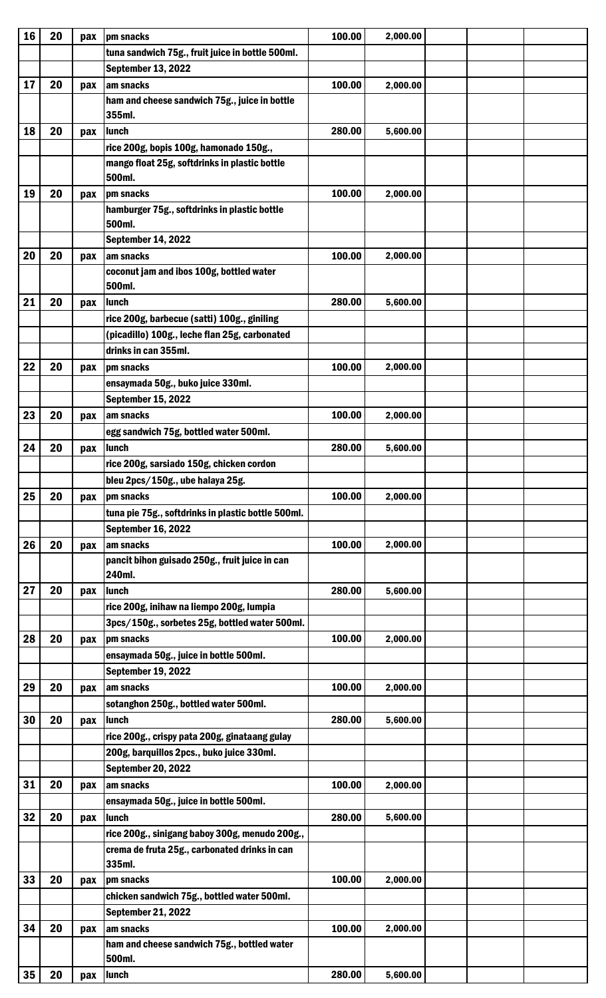| 16              | 20 | pax | pm snacks                                          | 100.00 | 2,000.00 |  |
|-----------------|----|-----|----------------------------------------------------|--------|----------|--|
|                 |    |     | tuna sandwich 75g., fruit juice in bottle 500ml.   |        |          |  |
|                 |    |     | <b>September 13, 2022</b>                          |        |          |  |
| 17              | 20 | pax | am snacks                                          | 100.00 | 2,000.00 |  |
|                 |    |     | ham and cheese sandwich 75g., juice in bottle      |        |          |  |
|                 |    |     | 355ml.                                             |        |          |  |
| 18              | 20 | pax | lunch                                              | 280.00 | 5,600.00 |  |
|                 |    |     | rice 200g, bopis 100g, hamonado 150g.,             |        |          |  |
|                 |    |     | mango float 25g, softdrinks in plastic bottle      |        |          |  |
|                 |    |     | 500ml.                                             |        |          |  |
| 19              | 20 | pax | pm snacks                                          | 100.00 | 2,000.00 |  |
|                 |    |     | hamburger 75g., softdrinks in plastic bottle       |        |          |  |
|                 |    |     | 500ml.                                             |        |          |  |
|                 |    |     | <b>September 14, 2022</b>                          |        |          |  |
| 20              | 20 | pax | am snacks                                          | 100.00 | 2,000.00 |  |
|                 |    |     | coconut jam and ibos 100g, bottled water           |        |          |  |
|                 |    |     | 500ml.                                             |        |          |  |
| 21              | 20 | pax | lunch                                              | 280.00 | 5,600.00 |  |
|                 |    |     | rice 200g, barbecue (satti) 100g., giniling        |        |          |  |
|                 |    |     | (picadillo) 100g., leche flan 25g, carbonated      |        |          |  |
|                 |    |     | drinks in can 355ml.                               |        |          |  |
| 22              | 20 |     | pm snacks                                          | 100.00 | 2,000.00 |  |
|                 |    | pax |                                                    |        |          |  |
|                 |    |     | ensaymada 50g., buko juice 330ml.                  |        |          |  |
|                 |    |     | <b>September 15, 2022</b>                          |        |          |  |
| 23              | 20 | pax | am snacks                                          | 100.00 | 2,000.00 |  |
|                 |    |     | egg sandwich 75g, bottled water 500ml.             |        |          |  |
| 24              | 20 | pax | lunch                                              | 280.00 | 5,600.00 |  |
|                 |    |     | rice 200g, sarsiado 150g, chicken cordon           |        |          |  |
|                 |    |     | bleu 2pcs/150g., ube halaya 25g.                   |        |          |  |
| 25              | 20 | pax | pm snacks                                          | 100.00 | 2,000.00 |  |
|                 |    |     | tuna pie 75g., softdrinks in plastic bottle 500ml. |        |          |  |
|                 |    |     | <b>September 16, 2022</b>                          |        |          |  |
| 26              | 20 | pax | am snacks                                          | 100.00 | 2,000.00 |  |
|                 |    |     | pancit bihon guisado 250g., fruit juice in can     |        |          |  |
|                 |    |     | 240ml.                                             |        |          |  |
| 27              | 20 | pax | lunch                                              | 280.00 | 5,600.00 |  |
|                 |    |     | rice 200g, inihaw na liempo 200g, lumpia           |        |          |  |
|                 |    |     | 3pcs/150g., sorbetes 25g, bottled water 500ml.     |        |          |  |
| 28              | 20 | pax | pm snacks                                          | 100.00 | 2,000.00 |  |
|                 |    |     | ensaymada 50g., juice in bottle 500ml.             |        |          |  |
|                 |    |     | <b>September 19, 2022</b>                          |        |          |  |
| 29              | 20 | pax | am snacks                                          | 100.00 | 2,000.00 |  |
|                 |    |     | sotanghon 250g., bottled water 500ml.              |        |          |  |
| 30              | 20 | pax | lunch                                              | 280.00 | 5,600.00 |  |
|                 |    |     | rice 200g., crispy pata 200g, ginataang gulay      |        |          |  |
|                 |    |     | 200g, barquillos 2pcs., buko juice 330ml.          |        |          |  |
|                 |    |     | <b>September 20, 2022</b>                          |        |          |  |
| 31              | 20 | pax | am snacks                                          | 100.00 | 2,000.00 |  |
|                 |    |     | ensaymada 50g., juice in bottle 500ml.             |        |          |  |
| 32              | 20 | pax | lunch                                              | 280.00 | 5,600.00 |  |
|                 |    |     | rice 200g., sinigang baboy 300g, menudo 200g.,     |        |          |  |
|                 |    |     | crema de fruta 25g., carbonated drinks in can      |        |          |  |
|                 |    |     | 335ml.                                             |        |          |  |
| 33              | 20 | pax | pm snacks                                          | 100.00 | 2,000.00 |  |
|                 |    |     | chicken sandwich 75g., bottled water 500ml.        |        |          |  |
|                 |    |     | <b>September 21, 2022</b>                          |        |          |  |
| 34              | 20 | pax | am snacks                                          | 100.00 | 2,000.00 |  |
|                 |    |     | ham and cheese sandwich 75g., bottled water        |        |          |  |
|                 |    |     | 500ml.                                             |        |          |  |
| 35 <sup>1</sup> | 20 | pax | <b>Iunch</b>                                       | 280.00 | 5,600.00 |  |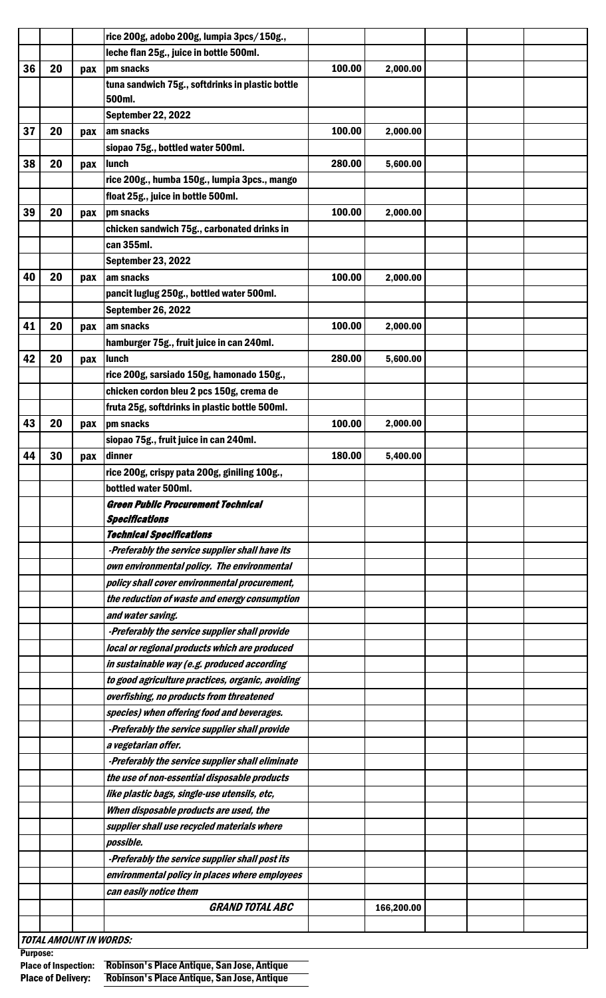|    |    |     | rice 200g, adobo 200g, lumpia 3pcs/150g.,        |        |            |  |  |
|----|----|-----|--------------------------------------------------|--------|------------|--|--|
|    |    |     | leche flan 25g., juice in bottle 500ml.          |        |            |  |  |
| 36 | 20 | pax | pm snacks                                        | 100.00 | 2,000.00   |  |  |
|    |    |     | tuna sandwich 75g., softdrinks in plastic bottle |        |            |  |  |
|    |    |     | 500ml.                                           |        |            |  |  |
|    |    |     | <b>September 22, 2022</b>                        |        |            |  |  |
| 37 | 20 | pax | am snacks                                        | 100.00 | 2,000.00   |  |  |
|    |    |     | siopao 75g., bottled water 500ml.                |        |            |  |  |
| 38 | 20 | pax | lunch                                            | 280.00 | 5,600.00   |  |  |
|    |    |     | rice 200g., humba 150g., lumpia 3pcs., mango     |        |            |  |  |
|    |    |     | float 25g., juice in bottle 500ml.               |        |            |  |  |
| 39 | 20 | pax | pm snacks                                        | 100.00 | 2,000.00   |  |  |
|    |    |     | chicken sandwich 75g., carbonated drinks in      |        |            |  |  |
|    |    |     | can 355ml.                                       |        |            |  |  |
|    |    |     | <b>September 23, 2022</b>                        |        |            |  |  |
| 40 | 20 | pax | lam snacks                                       | 100.00 | 2,000.00   |  |  |
|    |    |     | pancit luglug 250g., bottled water 500ml.        |        |            |  |  |
|    |    |     | <b>September 26, 2022</b>                        |        |            |  |  |
| 41 | 20 | pax | am snacks                                        | 100.00 | 2,000.00   |  |  |
|    |    |     | hamburger 75g., fruit juice in can 240ml.        |        |            |  |  |
| 42 | 20 | pax | lunch                                            | 280.00 | 5,600.00   |  |  |
|    |    |     | rice 200g, sarsiado 150g, hamonado 150g.,        |        |            |  |  |
|    |    |     | chicken cordon bleu 2 pcs 150g, crema de         |        |            |  |  |
|    |    |     | fruta 25g, softdrinks in plastic bottle 500ml.   |        |            |  |  |
| 43 | 20 | pax | pm snacks                                        | 100.00 | 2,000.00   |  |  |
|    |    |     | siopao 75g., fruit juice in can 240ml.           |        |            |  |  |
| 44 | 30 | pax | dinner                                           | 180.00 | 5,400.00   |  |  |
|    |    |     | rice 200g, crispy pata 200g, giniling 100g.,     |        |            |  |  |
|    |    |     | bottled water 500ml.                             |        |            |  |  |
|    |    |     | <b>Green Public Procurement Technical</b>        |        |            |  |  |
|    |    |     | <b>Specifications</b>                            |        |            |  |  |
|    |    |     | <b>Technical Specifications</b>                  |        |            |  |  |
|    |    |     | -Preferably the service supplier shall have its  |        |            |  |  |
|    |    |     | own environmental policy. The environmental      |        |            |  |  |
|    |    |     | policy shall cover environmental procurement,    |        |            |  |  |
|    |    |     | the reduction of waste and energy consumption    |        |            |  |  |
|    |    |     | and water saving.                                |        |            |  |  |
|    |    |     | -Preferably the service supplier shall provide   |        |            |  |  |
|    |    |     | local or regional products which are produced    |        |            |  |  |
|    |    |     | in sustainable way (e.g. produced according      |        |            |  |  |
|    |    |     | to good agriculture practices, organic, avoiding |        |            |  |  |
|    |    |     | overfishing, no products from threatened         |        |            |  |  |
|    |    |     | species) when offering food and beverages.       |        |            |  |  |
|    |    |     | -Preferably the service supplier shall provide   |        |            |  |  |
|    |    |     |                                                  |        |            |  |  |
|    |    |     | a vegetarian offer.                              |        |            |  |  |
|    |    |     | -Preferably the service supplier shall eliminate |        |            |  |  |
|    |    |     | the use of non-essential disposable products     |        |            |  |  |
|    |    |     | like plastic bags, single-use utensils, etc,     |        |            |  |  |
|    |    |     | When disposable products are used, the           |        |            |  |  |
|    |    |     | supplier shall use recycled materials where      |        |            |  |  |
|    |    |     | possible.                                        |        |            |  |  |
|    |    |     | -Preferably the service supplier shall post its  |        |            |  |  |
|    |    |     | environmental policy in places where employees   |        |            |  |  |
|    |    |     | can easily notice them                           |        |            |  |  |
|    |    |     | <b>GRAND TOTAL ABC</b>                           |        | 166,200.00 |  |  |
|    |    |     |                                                  |        |            |  |  |

TOTAL AMOUNT IN WORDS:

Purpose:

Place of Inspection: Robinson's Place Antique, San Jose, Antique Place of Delivery: Robinson's Place Antique, San Jose, Antique